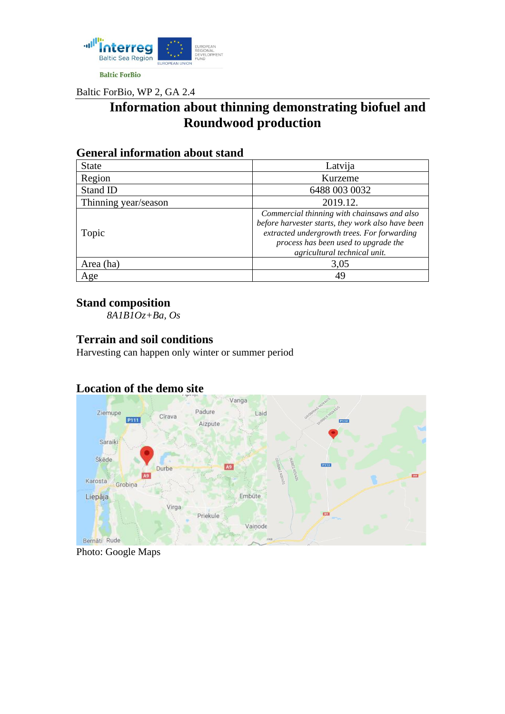

Baltic ForBio, WP 2, GA 2.4

# **Information about thinning demonstrating biofuel and Roundwood production**

| Ocheral Mhvi Mation about Buing |                                                                                                                                                                                                                         |
|---------------------------------|-------------------------------------------------------------------------------------------------------------------------------------------------------------------------------------------------------------------------|
| <b>State</b>                    | Latvija                                                                                                                                                                                                                 |
| Region                          | Kurzeme                                                                                                                                                                                                                 |
| Stand ID                        | 6488 003 0032                                                                                                                                                                                                           |
| Thinning year/season            | 2019.12.                                                                                                                                                                                                                |
| Topic                           | Commercial thinning with chainsaws and also<br>before harvester starts, they work also have been<br>extracted undergrowth trees. For forwarding<br>process has been used to upgrade the<br>agricultural technical unit. |
| Area (ha)                       | 3,05                                                                                                                                                                                                                    |
| Age                             | 49                                                                                                                                                                                                                      |

#### **General information about stand**

#### **Stand composition**

*8A1B1Oz+Ba, Os*

#### **Terrain and soil conditions**

Harvesting can happen only winter or summer period

## **Location of the demo site**



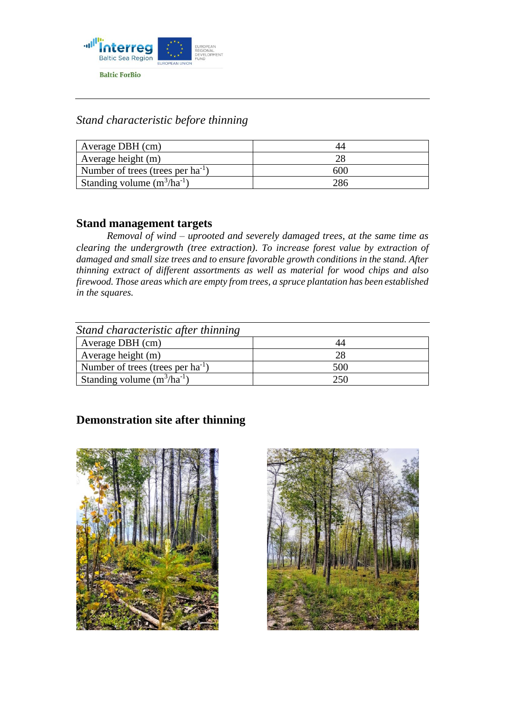

# *Stand characteristic before thinning*

| Average DBH (cm)                       |      |
|----------------------------------------|------|
| Average height (m)                     |      |
| Number of trees (trees per $ha^{-1}$ ) | 60 N |
| Standing volume $(m^3/ha^{-1})$        |      |

#### **Stand management targets**

*Removal of wind – uprooted and severely damaged trees, at the same time as clearing the undergrowth (tree extraction). To increase forest value by extraction of damaged and small size trees and to ensure favorable growth conditions in the stand. After thinning extract of different assortments as well as material for wood chips and also firewood. Those areas which are empty from trees, a spruce plantation has been established in the squares.* 

| Stand characteristic after thinning    |     |
|----------------------------------------|-----|
| Average DBH (cm)                       |     |
| Average height (m)                     |     |
| Number of trees (trees per $ha^{-1}$ ) | 500 |
| Standing volume $(m^3/ha^{-1})$        | 250 |

## **Demonstration site after thinning**



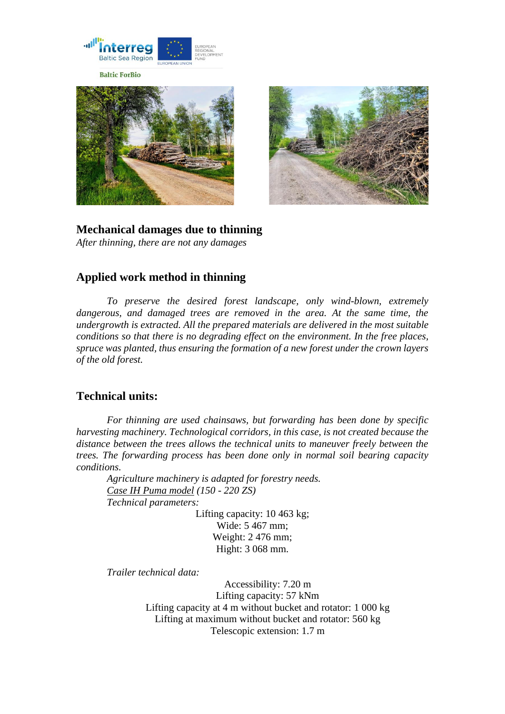

**Baltic ForBio** 





**Mechanical damages due to thinning** *After thinning, there are not any damages*

## **Applied work method in thinning**

*To preserve the desired forest landscape, only wind-blown, extremely dangerous, and damaged trees are removed in the area. At the same time, the undergrowth is extracted. All the prepared materials are delivered in the most suitable conditions so that there is no degrading effect on the environment. In the free places, spruce was planted, thus ensuring the formation of a new forest under the crown layers of the old forest.* 

#### **Technical units:**

*For thinning are used chainsaws, but forwarding has been done by specific harvesting machinery. Technological corridors, in this case, is not created because the distance between the trees allows the technical units to maneuver freely between the trees. The forwarding process has been done only in normal soil bearing capacity conditions.*

*Agriculture machinery is adapted for forestry needs. Case IH Puma model (150 - 220 ZS) Technical parameters:*

> Lifting capacity: 10 463 kg; Wide: 5 467 mm; Weight: 2 476 mm; Hight: 3 068 mm.

*Trailer technical data:*

Accessibility: 7.20 m Lifting capacity: 57 kNm Lifting capacity at 4 m without bucket and rotator: 1 000 kg Lifting at maximum without bucket and rotator: 560 kg Telescopic extension: 1.7 m